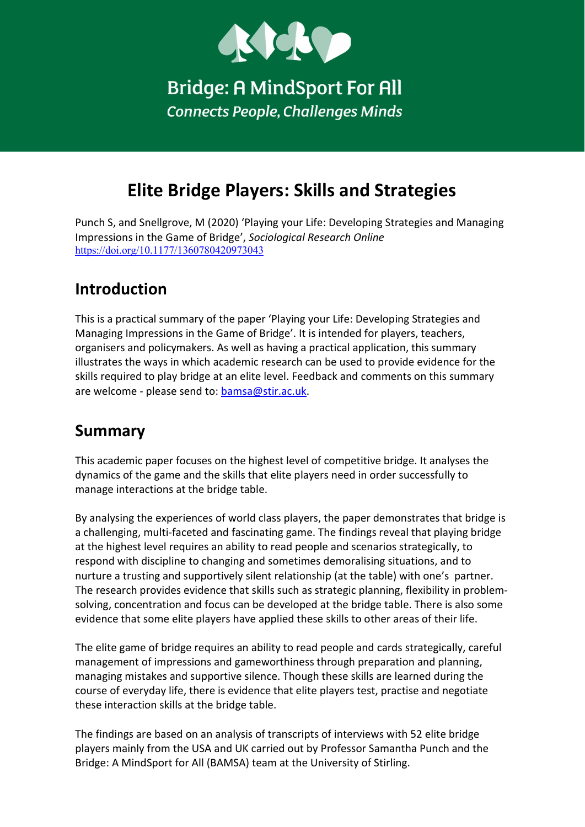

**Bridge: A MindSport For All Connects People, Challenges Minds** 

# Elite Bridge Players: Skills and Strategies

Punch S, and Snellgrove, M (2020) 'Playing your Life: Developing Strategies and Managing Impressions in the Game of Bridge', Sociological Research Online https://doi.org/10.1177/1360780420973043

## Introduction

This is a practical summary of the paper 'Playing your Life: Developing Strategies and Managing Impressions in the Game of Bridge'. It is intended for players, teachers, organisers and policymakers. As well as having a practical application, this summary illustrates the ways in which academic research can be used to provide evidence for the skills required to play bridge at an elite level. Feedback and comments on this summary are welcome - please send to: bamsa@stir.ac.uk.

#### Summary

This academic paper focuses on the highest level of competitive bridge. It analyses the dynamics of the game and the skills that elite players need in order successfully to manage interactions at the bridge table.

By analysing the experiences of world class players, the paper demonstrates that bridge is a challenging, multi-faceted and fascinating game. The findings reveal that playing bridge at the highest level requires an ability to read people and scenarios strategically, to respond with discipline to changing and sometimes demoralising situations, and to nurture a trusting and supportively silent relationship (at the table) with one's partner. The research provides evidence that skills such as strategic planning, flexibility in problemsolving, concentration and focus can be developed at the bridge table. There is also some evidence that some elite players have applied these skills to other areas of their life.

The elite game of bridge requires an ability to read people and cards strategically, careful management of impressions and gameworthiness through preparation and planning, managing mistakes and supportive silence. Though these skills are learned during the course of everyday life, there is evidence that elite players test, practise and negotiate these interaction skills at the bridge table.

The findings are based on an analysis of transcripts of interviews with 52 elite bridge players mainly from the USA and UK carried out by Professor Samantha Punch and the Bridge: A MindSport for All (BAMSA) team at the University of Stirling.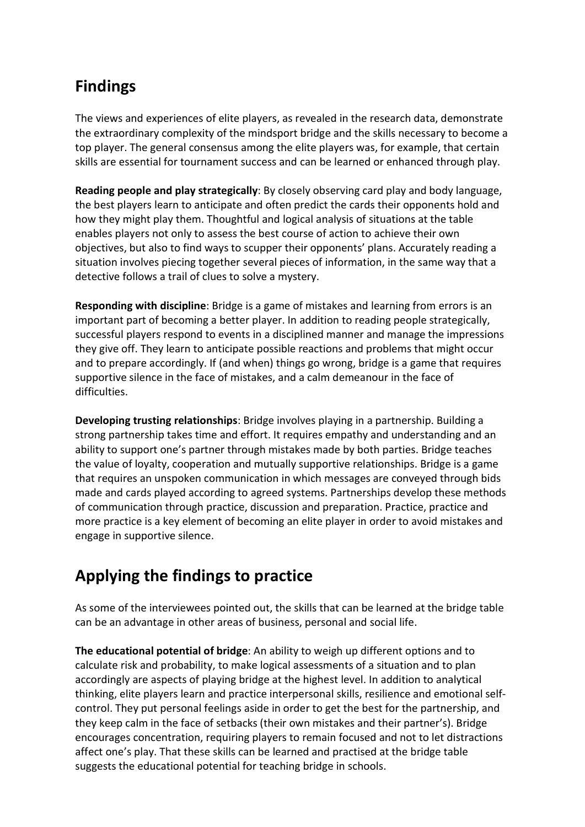# Findings

The views and experiences of elite players, as revealed in the research data, demonstrate the extraordinary complexity of the mindsport bridge and the skills necessary to become a top player. The general consensus among the elite players was, for example, that certain skills are essential for tournament success and can be learned or enhanced through play.

Reading people and play strategically: By closely observing card play and body language, the best players learn to anticipate and often predict the cards their opponents hold and how they might play them. Thoughtful and logical analysis of situations at the table enables players not only to assess the best course of action to achieve their own objectives, but also to find ways to scupper their opponents' plans. Accurately reading a situation involves piecing together several pieces of information, in the same way that a detective follows a trail of clues to solve a mystery.

Responding with discipline: Bridge is a game of mistakes and learning from errors is an important part of becoming a better player. In addition to reading people strategically, successful players respond to events in a disciplined manner and manage the impressions they give off. They learn to anticipate possible reactions and problems that might occur and to prepare accordingly. If (and when) things go wrong, bridge is a game that requires supportive silence in the face of mistakes, and a calm demeanour in the face of difficulties.

Developing trusting relationships: Bridge involves playing in a partnership. Building a strong partnership takes time and effort. It requires empathy and understanding and an ability to support one's partner through mistakes made by both parties. Bridge teaches the value of loyalty, cooperation and mutually supportive relationships. Bridge is a game that requires an unspoken communication in which messages are conveyed through bids made and cards played according to agreed systems. Partnerships develop these methods of communication through practice, discussion and preparation. Practice, practice and more practice is a key element of becoming an elite player in order to avoid mistakes and engage in supportive silence.

# Applying the findings to practice

As some of the interviewees pointed out, the skills that can be learned at the bridge table can be an advantage in other areas of business, personal and social life.

The educational potential of bridge: An ability to weigh up different options and to calculate risk and probability, to make logical assessments of a situation and to plan accordingly are aspects of playing bridge at the highest level. In addition to analytical thinking, elite players learn and practice interpersonal skills, resilience and emotional selfcontrol. They put personal feelings aside in order to get the best for the partnership, and they keep calm in the face of setbacks (their own mistakes and their partner's). Bridge encourages concentration, requiring players to remain focused and not to let distractions affect one's play. That these skills can be learned and practised at the bridge table suggests the educational potential for teaching bridge in schools.